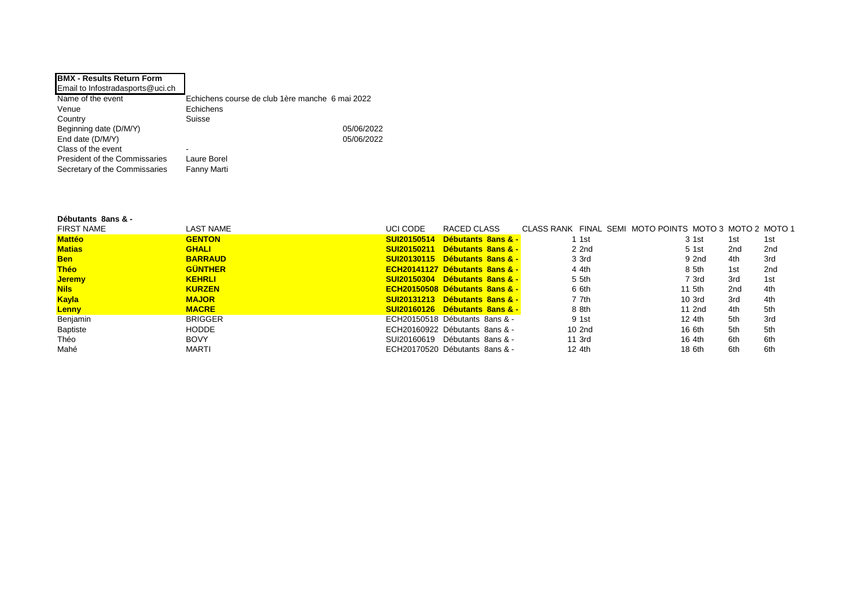| <b>BMX - Results Return Form</b>     |                                                 |
|--------------------------------------|-------------------------------------------------|
| Email to Infostradasports@uci.ch     |                                                 |
| Name of the event                    | Echichens course de club 1ère manche 6 mai 2022 |
| Venue                                | Echichens                                       |
| Country                              | Suisse                                          |
| Beginning date (D/M/Y)               | 05/06/2022                                      |
| End date (D/M/Y)                     | 05/06/2022                                      |
| Class of the event                   | -                                               |
| <b>President of the Commissaries</b> | Laure Borel                                     |
| Secretary of the Commissaries        | Fanny Marti                                     |

## **Débutants 8ans & -**

| <b>FIRST NAME</b> | <b>LAST NAME</b> | UCI CODE | RACED CLASS                               | CLASS RANK FINAL SEMI MOTO POINTS MOTO 3 MOTO 2 MOTO 1 |                   |     |                 |
|-------------------|------------------|----------|-------------------------------------------|--------------------------------------------------------|-------------------|-----|-----------------|
| <b>Mattéo</b>     | <b>GENTON</b>    |          | SUI20150514 Débutants 8ans & -            | 1 1st                                                  | 3 1st             | 1st | 1st             |
| <b>Matias</b>     | <b>GHALI</b>     |          | SUI20150211 Débutants 8ans & -            | 2 2nd                                                  | 5 1st             | 2nd | 2 <sub>nd</sub> |
| <b>Ben</b>        | <b>BARRAUD</b>   |          | SUI20130115 Débutants 8ans & -            | 3 3rd                                                  | 9 2nd             | 4th | 3rd             |
| <b>Théo</b>       | <b>GÜNTHER</b>   |          | <b>ECH20141127 Débutants 8ans &amp; -</b> | 4 4th                                                  | 8 5th             | 1st | 2 <sub>nd</sub> |
| <b>Jeremy</b>     | <b>KEHRLI</b>    |          | SUI20150304 Débutants 8ans & -            | 5 5th                                                  | 7 3rd             | 3rd | 1st             |
| <b>Nils</b>       | <b>KURZEN</b>    |          | ECH20150508 Débutants 8ans & -            | 6 6th                                                  | 11 5th            | 2nd | 4th             |
| <b>Kayla</b>      | <b>MAJOR</b>     |          | SUI20131213 Débutants 8ans & -            | 7 7th                                                  | 10 <sub>3rd</sub> | 3rd | 4th             |
| <b>Lenny</b>      | <b>MACRE</b>     |          | SUI20160126 Débutants 8ans & -            | 8 8th                                                  | 11 2nd            | 4th | 5th             |
| Benjamin          | <b>BRIGGER</b>   |          | ECH20150518 Débutants 8ans & -            | 9 1st                                                  | 12 4th            | 5th | 3rd             |
| Baptiste          | <b>HODDE</b>     |          | ECH20160922 Débutants 8ans & -            | 10 2nd                                                 | 16 6th            | 5th | 5th             |
| Théo              | <b>BOVY</b>      |          | SUI20160619 Débutants 8ans & -            | 11 3rd                                                 | 16 4th            | 6th | 6th             |
| Mahé              | <b>MARTI</b>     |          | ECH20170520 Débutants 8ans & -            | 12 4th                                                 | 18 6th            | 6th | 6th             |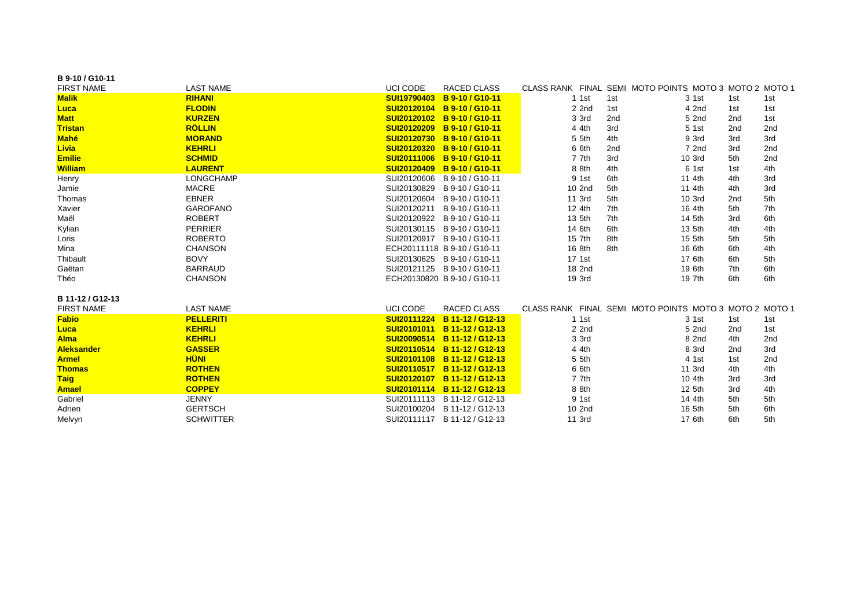| B 9-10 / G10-11   |                  |                    |                              |         |     |                                                        |     |     |
|-------------------|------------------|--------------------|------------------------------|---------|-----|--------------------------------------------------------|-----|-----|
| <b>FIRST NAME</b> | <b>LAST NAME</b> | <b>UCI CODE</b>    | <b>RACED CLASS</b>           |         |     | CLASS RANK FINAL SEMI MOTO POINTS MOTO 3 MOTO 2 MOTO 1 |     |     |
| <b>Malik</b>      | <b>RIHANI</b>    | <b>SUI19790403</b> | B 9-10 / G10-11              | $1$ 1st | 1st | 3 1st                                                  | 1st | 1st |
| <b>Luca</b>       | <b>FLODIN</b>    | <b>SUI20120104</b> | B 9-10 / G10-11              | 2 2nd   | 1st | 4 2nd                                                  | 1st | 1st |
| <b>Matt</b>       | <b>KURZEN</b>    | SUI20120102        | B 9-10 / G10-11              | 3 3rd   | 2nd | 5 2nd                                                  | 2nd | 1st |
| <b>Tristan</b>    | <b>RÖLLIN</b>    | SUI20120209        | B 9-10 / G10-11              | 4 4th   | 3rd | 5 1st                                                  | 2nd | 2nd |
| <b>Mahé</b>       | <b>MORAND</b>    | SUI20120730        | B 9-10 / G10-11              | 5 5th   | 4th | 9 3rd                                                  | 3rd | 3rd |
| Livia             | <b>KEHRLI</b>    | <b>SUI20120320</b> | B 9-10 / G10-11              | 6 6th   | 2nd | 7 2nd                                                  | 3rd | 2nd |
| <b>Emilie</b>     | <b>SCHMID</b>    | <b>SUI20111006</b> | B 9-10 / G10-11              | 7 7th   | 3rd | 10 3rd                                                 | 5th | 2nd |
| <b>William</b>    | <b>LAURENT</b>   | <b>SUI20120409</b> | B 9-10 / G10-11              | 8 8th   | 4th | 6 1st                                                  | 1st | 4th |
| Henry             | <b>LONGCHAMP</b> | SUI20120606        | B 9-10 / G10-11              | 9 1st   | 6th | 11 4th                                                 | 4th | 3rd |
| Jamie             | <b>MACRE</b>     |                    | SUI20130829 B 9-10 / G10-11  | 10 2nd  | 5th | 11 4th                                                 | 4th | 3rd |
| Thomas            | <b>EBNER</b>     | SUI20120604        | B 9-10 / G10-11              | 11 3rd  | 5th | 10 3rd                                                 | 2nd | 5th |
| Xavier            | <b>GAROFANO</b>  | SUI20120211        | B 9-10 / G10-11              | 12 4th  | 7th | 16 4th                                                 | 5th | 7th |
| Maël              | <b>ROBERT</b>    |                    | SUI20120922 B 9-10 / G10-11  | 13 5th  | 7th | 14 5th                                                 | 3rd | 6th |
| Kylian            | <b>PERRIER</b>   |                    | SUI20130115 B 9-10 / G10-11  | 14 6th  | 6th | 13 5th                                                 | 4th | 4th |
| Loris             | <b>ROBERTO</b>   |                    | SUI20120917 B 9-10 / G10-11  | 15 7th  | 8th | 15 5th                                                 | 5th | 5th |
| Mina              | <b>CHANSON</b>   |                    | ECH20111118 B 9-10 / G10-11  | 16 8th  | 8th | 16 6th                                                 | 6th | 4th |
| Thibault          | <b>BOVY</b>      |                    | SUI20130625 B 9-10 / G10-11  | 17 1st  |     | 17 6th                                                 | 6th | 5th |
| Gaëtan            | <b>BARRAUD</b>   |                    | SUI20121125 B 9-10 / G10-11  | 18 2nd  |     | 19 6th                                                 | 7th | 6th |
| Théo              | <b>CHANSON</b>   |                    | ECH20130820 B 9-10 / G10-11  | 19 3rd  |     | 19 7th                                                 | 6th | 6th |
| B 11-12 / G12-13  |                  |                    |                              |         |     |                                                        |     |     |
| <b>FIRST NAME</b> | <b>LAST NAME</b> | UCI CODE           | RACED CLASS                  |         |     | CLASS RANK FINAL SEMI MOTO POINTS MOTO 3 MOTO 2 MOTO 1 |     |     |
| <b>Fabio</b>      | <b>PELLERITI</b> | SUI20111224        | B 11-12 / G12-13             | $1$ 1st |     | 3 1st                                                  | 1st | 1st |
| <b>Luca</b>       | <b>KEHRLI</b>    | SUI20101011        | B 11-12 / G12-13             | 2 2nd   |     | 5 2nd                                                  | 2nd | 1st |
| <b>Alma</b>       | <b>KEHRLI</b>    | SUI20090514        | B 11-12 / G12-13             | 3 3rd   |     | 8 2nd                                                  | 4th | 2nd |
| <b>Aleksander</b> | <b>GASSER</b>    | SUI20110514        | B 11-12 / G12-13             | 4 4th   |     | 8 3rd                                                  | 2nd | 3rd |
| <b>Armel</b>      | <b>HÜNI</b>      | <b>SUI20101108</b> | B 11-12 / G12-13             | 5 5th   |     | 4 1st                                                  | 1st | 2nd |
| <b>Thomas</b>     | <b>ROTHEN</b>    | SUI20110517        | B 11-12 / G12-13             | 6 6th   |     | 11 3rd                                                 | 4th | 4th |
| <b>Taig</b>       | <b>ROTHEN</b>    | SUI20120107        | B 11-12 / G12-13             | 7 7th   |     | 10 4th                                                 | 3rd | 3rd |
| <b>Amael</b>      | <b>COPPEY</b>    |                    | SUI20101114 B 11-12 / G12-13 | 8 8th   |     | 12 5th                                                 | 3rd | 4th |
| Gabriel           | <b>JENNY</b>     |                    | SUI20111113 B 11-12 / G12-13 | 9 1st   |     | 14 4th                                                 | 5th | 5th |
| Adrien            | <b>GERTSCH</b>   |                    | SUI20100204 B 11-12 / G12-13 | 10 2nd  |     | 16 5th                                                 | 5th | 6th |
| Melvyn            | <b>SCHWITTER</b> |                    | SUI20111117 B 11-12 / G12-13 | 11 3rd  |     | 17 6th                                                 | 6th | 5th |